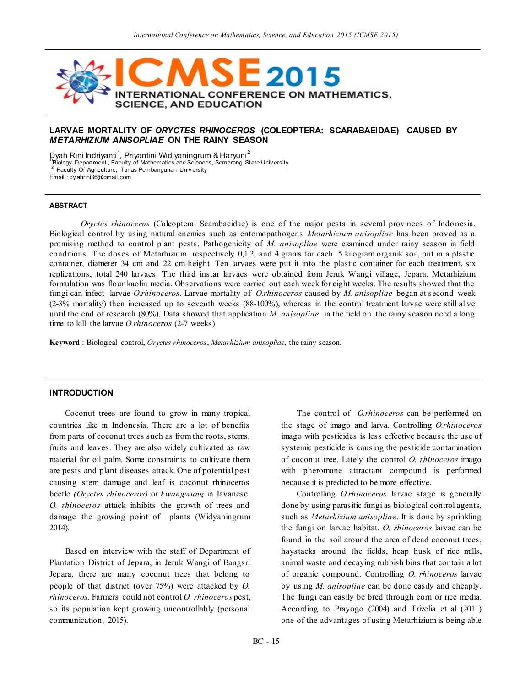

# **LARVAE MORTALITY OF** *ORYCTES RHINOCEROS* **(COLEOPTERA: SCARABAEIDAE) CAUSED BY**  *METARHIZIUM ANISOPLIAE* **ON THE RAINY SEASON**

 ${\tt D}$ yah Rini Indriyanti $^1$ , Priyantini Widiyaningrum & Haryuni $^2$ 

<sup>1)</sup>Biology Department, Faculty of Mathematics and Sciences, Semarang State Univ ersity

 $^{2)}$  Faculty Of Agriculture, Tunas Pembangunan Univ ersity Email [: dy ahrini36@gmail.com](mailto:dyahrini36@gmail.com)

#### **ABSTRACT**

*Oryctes rhinoceros* (Coleoptera: Scarabaeidae) is one of the major pests in several provinces of Indo nesia. Biological control by using natural enemies such as entomopathogens *Metarhizium anisopliae* has been proved as a promising method to control plant pests. Pathogenicity of *M. anisopliae* were examined under rainy season in field conditions. The doses of Metarhizium respectively 0,1,2, and 4 grams for each 5 kilogram organik soil, put in a plastic container, diameter 34 cm and 22 cm height. Ten larvaes were put it into the plastic container for each treatment, six replications, total 240 larvaes. The third instar larvaes were obtained from Jeruk Wangi village, Jepara. Metarhizium formulation was flour kaolin media. Observations were carried out each week for eight weeks. The results showed that the fungi can infect larvae *O.rhinoceros*. Larvae mortality of *O.rhinoceros* caused by *M. anisopliae* began at second week (2-3% mortality) then increased up to seventh weeks (88-100%), whereas in the control treatment larvae were still alive until the end of research (80%). Data showed that application *M. anisopliae* in the field on the rainy season need a long time to kill the larvae *O.rhinoceros* (2-7 weeks)

**Keyword** : Biological control, *Oryctes rhinoceros*, *Metarhizium anisopliae*, the rainy season.

### **INTRODUCTION**

Coconut trees are found to grow in many tropical countries like in Indonesia. There are a lot of benefits from parts of coconut trees such as from the roots, stems, fruits and leaves. They are also widely cultivated as raw material for oil palm. Some constraints to cultivate them are pests and plant diseases attack. One of potential pest causing stem damage and leaf is coconut rhinoceros beetle *(Oryctes rhinoceros)* or *kwangwung* in Javanese. *O. rhinoceros* attack inhibits the growth of trees and damage the growing point of plants (Widyaningrum 2014).

Based on interview with the staff of Department of Plantation District of Jepara, in Jeruk Wangi of Bangsri Jepara, there are many coconut trees that belong to people of that district (over 75%) were attacked by *O. rhinoceros*. Farmers could not control *O. rhinoceros* pest, so its population kept growing uncontrollably (personal communication, 2015).

The control of *O.rhinoceros* can be performed on the stage of imago and larva. Controlling *O.rhinoceros* imago with pesticides is less effective because the use of systemic pesticide is causing the pesticide contamination of coconut tree. Lately the control *O. rhinoceros* imago with pheromone attractant compound is performed because it is predicted to be more effective.

Controlling *O.rhinoceros* larvae stage is generally done by using parasitic fungi as biological control agents, such as *Metarhizium anisopliae*. It is done by sprinkling the fungi on larvae habitat. *O. rhinoceros* larvae can be found in the soil around the area of dead coconut trees, haystacks around the fields, heap husk of rice mills, animal waste and decaying rubbish bins that contain a lot of organic compound. Controlling *O. rhinoceros* larvae by using *M. anisopliae* can be done easily and cheaply. The fungi can easily be bred through corn or rice media. According to Prayogo (2004) and Trizelia et al (2011) one of the advantages of using Metarhizium is being able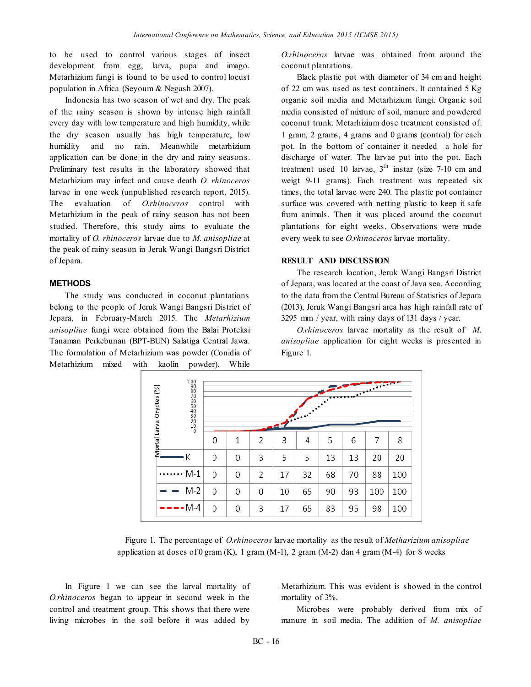to be used to control various stages of insect development from egg, larva, pupa and imago. Metarhizium fungi is found to be used to control locust population in Africa (Seyoum & Negash 2007).

Indonesia has two season of wet and dry. The peak of the rainy season is shown by intense high rainfall every day with low temperature and high humidity, while the dry season usually has high temperature, low humidity and no rain. Meanwhile metarhizium application can be done in the dry and rainy seasons. Preliminary test results in the laboratory showed that Metarhizium may infect and cause death *O. rhinoceros* larvae in one week (unpublished research report, 2015). The evaluation of *O.rhinoceros* control with Metarhizium in the peak of rainy season has not been studied. Therefore, this study aims to evaluate the mortality of *O. rhinoceros* larvae due to *M. anisopliae* at the peak of rainy season in Jeruk Wangi Bangsri District of Jepara.

## **METHODS**

The study was conducted in coconut plantations belong to the people of Jeruk Wangi Bangsri District of Jepara, in February-March 2015. The *Metarhizium anisopliae* fungi were obtained from the Balai Proteksi Tanaman Perkebunan (BPT-BUN) Salatiga Central Jawa. The formulation of Metarhizium was powder (Conidia of Metarhizium mixed with kaolin powder). While

*O.rhinoceros* larvae was obtained from around the coconut plantations.

Black plastic pot with diameter of 34 cm and height of 22 cm was used as test containers. It contained 5 Kg organic soil media and Metarhizium fungi. Organic soil media consisted of mixture of soil, manure and powdered coconut trunk. Metarhizium dose treatment consisted of: 1 gram, 2 grams, 4 grams and 0 grams (control) for each pot. In the bottom of container it needed a hole for discharge of water. The larvae put into the pot. Each treatment used 10 larvae,  $3<sup>th</sup>$  instar (size 7-10 cm and weigt 9-11 grams). Each treatment was repeated six times, the total larvae were 240. The plastic pot container surface was covered with netting plastic to keep it safe from animals. Then it was placed around the coconut plantations for eight weeks. Observations were made every week to see *O.rhinoceros* larvae mortality.

### **RESULT AND DISCUSSION**

The research location, Jeruk Wangi Bangsri District of Jepara, was located at the coast of Java sea. According to the data from the Central Bureau of Statistics of Jepara (2013), Jeruk Wangi Bangsri area has high rainfall rate of 3295 mm / year, with rainy days of 131 days / year.

*O.rhinoceros* larvae mortality as the result of *M. anisopliae* application for eight weeks is presented in Figure 1.

| 100<br>900<br>8070<br>650<br>650<br>900<br>900<br>900<br>900<br>Mortal Larva Oryctes (%) | THE CHAPTER OF THE COMPANY<br>$\overline{\mathbf{v}}$ |   |   |    |    |    |    |     |     |
|------------------------------------------------------------------------------------------|-------------------------------------------------------|---|---|----|----|----|----|-----|-----|
|                                                                                          | 0                                                     | 1 | 2 | 3  | 4  | 5  | 6  | 7   | 8   |
| К                                                                                        | 0                                                     | 0 | 3 | 5  | 5  | 13 | 13 | 20  | 20  |
| M-1                                                                                      | 0                                                     | 0 | 2 | 17 | 32 | 68 | 70 | 88  | 100 |
| $M-2$<br>$\qquad \qquad$                                                                 | 0                                                     | 0 | 0 | 10 | 65 | 90 | 93 | 100 | 100 |
| ----M-4                                                                                  | 0                                                     | 0 | 3 | 17 | 65 | 83 | 95 | 98  | 100 |

Figure 1. The percentage of *O.rhinoceros* larvae mortality as the result of *Metharizium anisopliae* application at doses of 0 gram  $(K)$ , 1 gram  $(M-1)$ , 2 gram  $(M-2)$  dan 4 gram  $(M-4)$  for 8 weeks

In Figure 1 we can see the larval mortality of *O.rhinoceros* began to appear in second week in the control and treatment group. This shows that there were living microbes in the soil before it was added by

Metarhizium. This was evident is showed in the control mortality of 3%.

Microbes were probably derived from mix of manure in soil media. The addition of *M. anisopliae*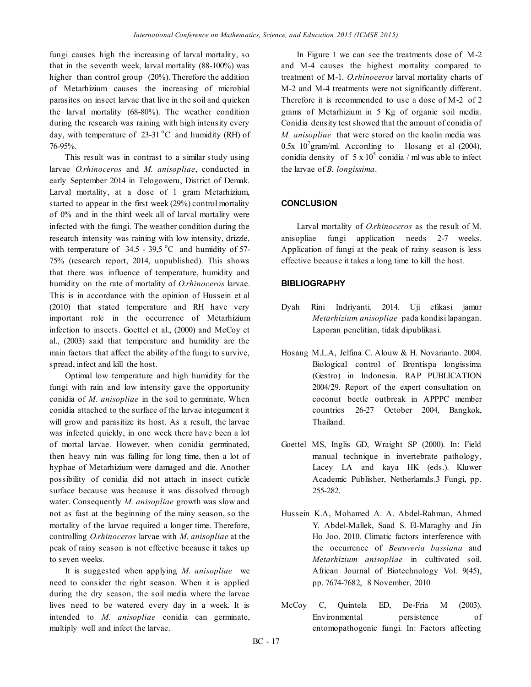fungi causes high the increasing of larval mortality, so that in the seventh week, larval mortality (88-100%) was higher than control group (20%). Therefore the addition of Metarhizium causes the increasing of microbial parasites on insect larvae that live in the soil and quicken the larval mortality (68-80%). The weather condition during the research was raining with high intensity every day, with temperature of  $23-31$  °C and humidity (RH) of 76-95%.

This result was in contrast to a similar study using larvae *O.rhinoceros* and *M. anisopliae*, conducted in early September 2014 in Telogoweru, District of Demak. Larval mortality, at a dose of 1 gram Metarhizium, started to appear in the first week (29%) control mortality of 0% and in the third week all of larval mortality were infected with the fungi. The weather condition during the research intensity was raining with low intensity, drizzle, with temperature of  $34.5 - 39.5$  °C and humidity of 57-75% (research report, 2014, unpublished). This shows that there was influence of temperature, humidity and humidity on the rate of mortality of *O.rhinoceros* larvae. This is in accordance with the opinion of Hussein et al (2010) that stated temperature and RH have very important role in the occurrence of Metarhizium infection to insects. Goettel et al., (2000) and McCoy et al., (2003) said that temperature and humidity are the main factors that affect the ability of the fungi to survive, spread, infect and kill the host.

Optimal low temperature and high humidity for the fungi with rain and low intensity gave the opportunity conidia of *M. anisopliae* in the soil to germinate. When conidia attached to the surface of the larvae integument it will grow and parasitize its host. As a result, the larvae was infected quickly, in one week there have been a lot of mortal larvae. However, when conidia germinated, then heavy rain was falling for long time, then a lot of hyphae of Metarhizium were damaged and die. Another possibility of conidia did not attach in insect cuticle surface because was because it was dissolved through water. Consequently *M. anisopliae* growth was slow and not as fast at the beginning of the rainy season, so the mortality of the larvae required a longer time. Therefore, controlling *O.rhinoceros* larvae with *M. anisopliae* at the peak of rainy season is not effective because it takes up to seven weeks.

It is suggested when applying *M. anisopliae* we need to consider the right season. When it is applied during the dry season, the soil media where the larvae lives need to be watered every day in a week. It is intended to *M. anisopliae* conidia can germinate, multiply well and infect the larvae.

In Figure 1 we can see the treatments dose of M-2 and M-4 causes the highest mortality compared to treatment of M-1. *O.rhinoceros* larval mortality charts of M-2 and M-4 treatments were not significantly different. Therefore it is recommended to use a dose of M-2 of 2 grams of Metarhizium in 5 Kg of organic soil media. Conidia density test showed that the amount of conidia of *M. anisopliae* that were stored on the kaolin media was  $0.5x$  10<sup>7</sup> gram/ml. According to Hosang et al (2004), conidia density of  $5 \times 10^5$  conidia / ml was able to infect the larvae of *B. longissima*.

### **CONCLUSION**

Larval mortality of *O.rhinoceros* as the result of M. anisopliae fungi application needs 2-7 weeks. Application of fungi at the peak of rainy season is less effective because it takes a long time to kill the host.

# **BIBLIOGRAPHY**

- Dyah Rini Indriyanti. 2014. Uji efikasi jamur *Metarhizium anisopliae* pada kondisi lapangan. Laporan penelitian, tidak dipublikasi.
- Hosang M.L.A, Jelfina C. Alouw & H. Novarianto. 2004. Biological control of Brontispa longissima (Gestro) in Indonesia. RAP PUBLICATION 2004/29. Report of the expert consultation on coconut beetle outbreak in APPPC member countries 26-27 October 2004, Bangkok, Thailand.
- Goettel MS, Inglis GD, Wraight SP (2000). In: Field manual technique in invertebrate pathology, Lacey LA and kaya HK (eds.). Kluwer Academic Publisher, Netherlamds.3 Fungi, pp. 255-282.
- Hussein K.A, Mohamed A. A. Abdel-Rahman, Ahmed Y. Abdel-Mallek, Saad S. El-Maraghy and Jin Ho Joo. 2010. Climatic factors interference with the occurrence of *Beauveria bassiana* and *Metarhizium anisopliae* in cultivated soil. African Journal of Biotechnology Vol. 9(45), pp. 7674-7682, 8 November, 2010
- McCoy C, Quintela ED, De-Fria M (2003). Environmental persistence of entomopathogenic fungi. In: Factors affecting